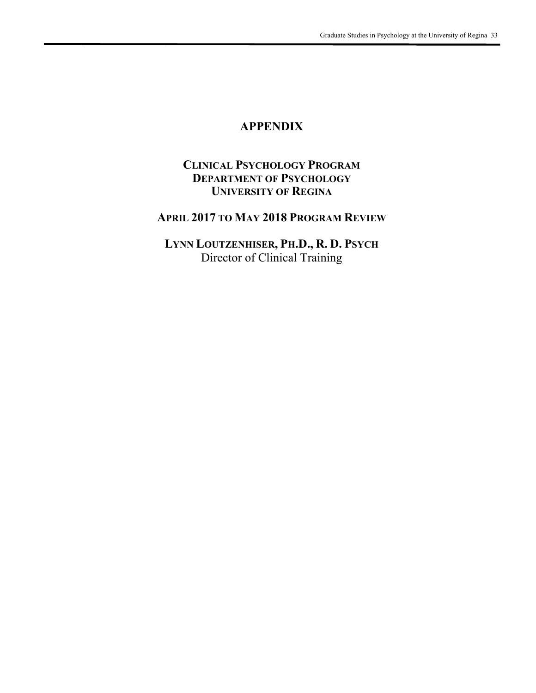# **APPENDIX**

## **CLINICAL PSYCHOLOGY PROGRAM DEPARTMENT OF PSYCHOLOGY UNIVERSITY OF REGINA**

## **APRIL 2017 TO MAY 2018 PROGRAM REVIEW**

**LYNN LOUTZENHISER, PH.D., R. D. PSYCH** Director of Clinical Training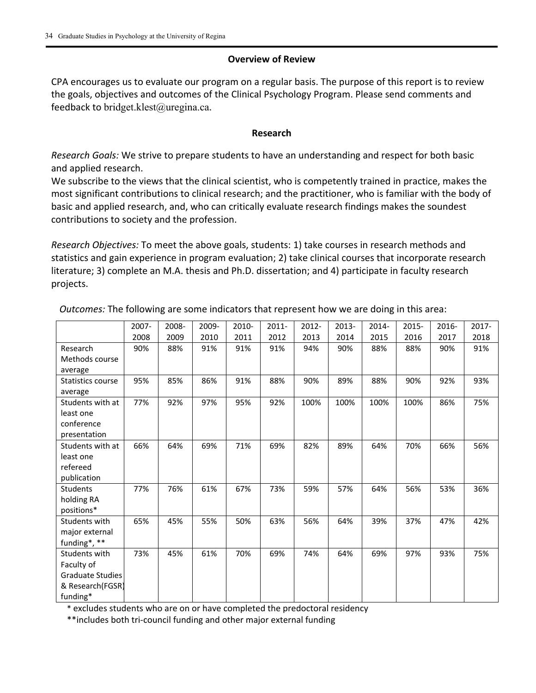#### **Overview of Review**

CPA encourages us to evaluate our program on a regular basis. The purpose of this report is to review the goals, objectives and outcomes of the Clinical Psychology Program. Please send comments and feedback to bridget.klest@uregina.ca.

#### **Research**

*Research Goals:* We strive to prepare students to have an understanding and respect for both basic and applied research.

We subscribe to the views that the clinical scientist, who is competently trained in practice, makes the most significant contributions to clinical research; and the practitioner, who is familiar with the body of basic and applied research, and, who can critically evaluate research findings makes the soundest contributions to society and the profession.

*Research Objectives:* To meet the above goals, students: 1) take courses in research methods and statistics and gain experience in program evaluation; 2) take clinical courses that incorporate research literature; 3) complete an M.A. thesis and Ph.D. dissertation; and 4) participate in faculty research projects.

|                         | 2007- | 2008- | 2009- | 2010- | $2011 -$ | 2012- | 2013- | 2014- | 2015- | 2016- | 2017- |
|-------------------------|-------|-------|-------|-------|----------|-------|-------|-------|-------|-------|-------|
|                         | 2008  | 2009  | 2010  | 2011  | 2012     | 2013  | 2014  | 2015  | 2016  | 2017  | 2018  |
| Research                | 90%   | 88%   | 91%   | 91%   | 91%      | 94%   | 90%   | 88%   | 88%   | 90%   | 91%   |
| Methods course          |       |       |       |       |          |       |       |       |       |       |       |
| average                 |       |       |       |       |          |       |       |       |       |       |       |
| Statistics course       | 95%   | 85%   | 86%   | 91%   | 88%      | 90%   | 89%   | 88%   | 90%   | 92%   | 93%   |
| average                 |       |       |       |       |          |       |       |       |       |       |       |
| Students with at        | 77%   | 92%   | 97%   | 95%   | 92%      | 100%  | 100%  | 100%  | 100%  | 86%   | 75%   |
| least one               |       |       |       |       |          |       |       |       |       |       |       |
| conference              |       |       |       |       |          |       |       |       |       |       |       |
| presentation            |       |       |       |       |          |       |       |       |       |       |       |
| Students with at        | 66%   | 64%   | 69%   | 71%   | 69%      | 82%   | 89%   | 64%   | 70%   | 66%   | 56%   |
| least one               |       |       |       |       |          |       |       |       |       |       |       |
| refereed                |       |       |       |       |          |       |       |       |       |       |       |
| publication             |       |       |       |       |          |       |       |       |       |       |       |
| <b>Students</b>         | 77%   | 76%   | 61%   | 67%   | 73%      | 59%   | 57%   | 64%   | 56%   | 53%   | 36%   |
| holding RA              |       |       |       |       |          |       |       |       |       |       |       |
| positions*              |       |       |       |       |          |       |       |       |       |       |       |
| Students with           | 65%   | 45%   | 55%   | 50%   | 63%      | 56%   | 64%   | 39%   | 37%   | 47%   | 42%   |
| major external          |       |       |       |       |          |       |       |       |       |       |       |
| funding*, **            |       |       |       |       |          |       |       |       |       |       |       |
| Students with           | 73%   | 45%   | 61%   | 70%   | 69%      | 74%   | 64%   | 69%   | 97%   | 93%   | 75%   |
| Faculty of              |       |       |       |       |          |       |       |       |       |       |       |
| <b>Graduate Studies</b> |       |       |       |       |          |       |       |       |       |       |       |
| & Research(FGSR)        |       |       |       |       |          |       |       |       |       |       |       |
| funding*                |       |       |       |       |          |       |       |       |       |       |       |

*Outcomes:* The following are some indicators that represent how we are doing in this area:

\* excludes students who are on or have completed the predoctoral residency

\*\*includes both tri‐council funding and other major external funding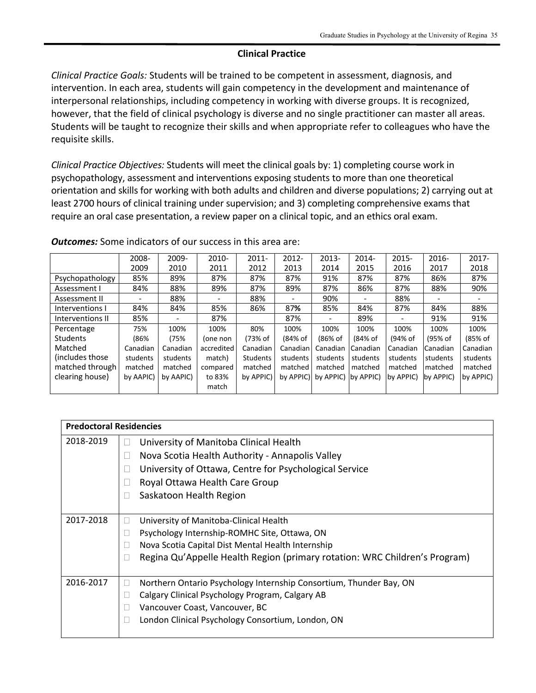#### **Clinical Practice**

*Clinical Practice Goals:* Students will be trained to be competent in assessment, diagnosis, and intervention. In each area, students will gain competency in the development and maintenance of interpersonal relationships, including competency in working with diverse groups. It is recognized, however, that the field of clinical psychology is diverse and no single practitioner can master all areas. Students will be taught to recognize their skills and when appropriate refer to colleagues who have the requisite skills.

*Clinical Practice Objectives:* Students will meet the clinical goals by: 1) completing course work in psychopathology, assessment and interventions exposing students to more than one theoretical orientation and skills for working with both adults and children and diverse populations; 2) carrying out at least 2700 hours of clinical training under supervision; and 3) completing comprehensive exams that require an oral case presentation, a review paper on a clinical topic, and an ethics oral exam.

|                  | 2008-     | 2009-     | 2010-      | $2011 -$        | $2012 -$   | 2013-                | 2014-    | 2015-     | $2016 -$  | $2017 -$  |
|------------------|-----------|-----------|------------|-----------------|------------|----------------------|----------|-----------|-----------|-----------|
|                  | 2009      | 2010      | 2011       | 2012            | 2013       | 2014                 | 2015     | 2016      | 2017      | 2018      |
| Psychopathology  | 85%       | 89%       | 87%        | 87%             | 87%        | 91%                  | 87%      | 87%       | 86%       | 87%       |
| Assessment I     | 84%       | 88%       | 89%        | 87%             | 89%        | 87%                  | 86%      | 87%       | 88%       | 90%       |
| Assessment II    |           | 88%       | -          | 88%             |            | 90%                  |          | 88%       |           |           |
| Interventions I  | 84%       | 84%       | 85%        | 86%             | 87%        | 85%                  | 84%      | 87%       | 84%       | 88%       |
| Interventions II | 85%       |           | 87%        |                 | 87%        |                      | 89%      |           | 91%       | 91%       |
| Percentage       | 75%       | 100%      | 100%       | 80%             | 100%       | 100%                 | 100%     | 100%      | 100%      | 100%      |
| <b>Students</b>  | (86%      | (75%      | (one non   | (73% of         | (84% of    | (86% of              | (84% of  | (94% of   | (95% of   | (85% of   |
| Matched          | Canadian  | Canadian  | accredited | Canadian        | Canadian I | Canadian             | Canadian | Canadian  | Canadian  | Canadian  |
| (includes those) | students  | students  | match)     | <b>Students</b> | students   | students             | students | students  | students  | students  |
| matched through  | matched   | matched   | compared   | matched         | matched    | matched              | matched  | matched   | matched   | matched   |
| clearing house)  | by AAPIC) | by AAPIC) | to 83%     | by APPIC)       | by APPIC)  | by APPIC) (by APPIC) |          | by APPIC) | by APPIC) | by APPIC) |
|                  |           |           | match      |                 |            |                      |          |           |           |           |
|                  |           |           |            |                 |            |                      |          |           |           |           |

*Outcomes:* Some indicators of our success in this area are:

| <b>Predoctoral Residencies</b> |                                                                            |
|--------------------------------|----------------------------------------------------------------------------|
| 2018-2019                      | University of Manitoba Clinical Health                                     |
|                                | Nova Scotia Health Authority - Annapolis Valley                            |
|                                | University of Ottawa, Centre for Psychological Service                     |
|                                | Royal Ottawa Health Care Group                                             |
|                                | Saskatoon Health Region<br>г                                               |
|                                |                                                                            |
| 2017-2018                      | University of Manitoba-Clinical Health                                     |
|                                | Psychology Internship-ROMHC Site, Ottawa, ON                               |
|                                | Nova Scotia Capital Dist Mental Health Internship                          |
|                                | Regina Qu'Appelle Health Region (primary rotation: WRC Children's Program) |
|                                |                                                                            |
| 2016-2017                      | Northern Ontario Psychology Internship Consortium, Thunder Bay, ON<br>L    |
|                                | Calgary Clinical Psychology Program, Calgary AB<br>L                       |
|                                | Vancouver Coast, Vancouver, BC                                             |
|                                | London Clinical Psychology Consortium, London, ON                          |
|                                |                                                                            |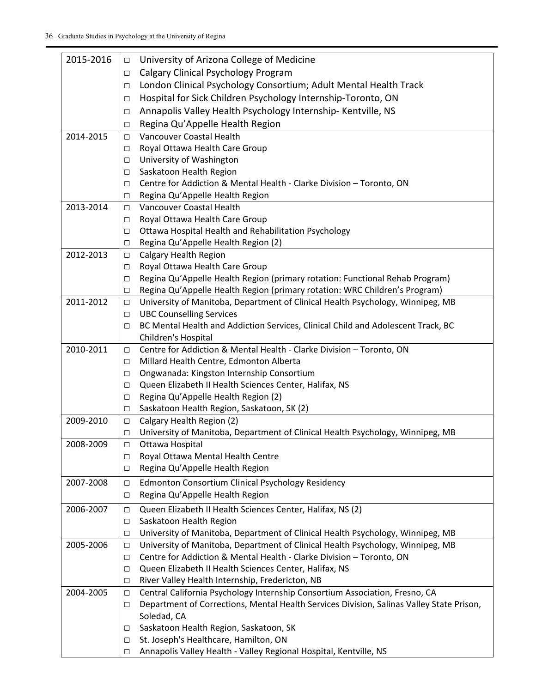| 2015-2016 | $\Box$           | University of Arizona College of Medicine                                                                                                                        |
|-----------|------------------|------------------------------------------------------------------------------------------------------------------------------------------------------------------|
|           | □                | Calgary Clinical Psychology Program                                                                                                                              |
|           | $\Box$           | London Clinical Psychology Consortium; Adult Mental Health Track                                                                                                 |
|           | □                | Hospital for Sick Children Psychology Internship-Toronto, ON                                                                                                     |
|           | □                | Annapolis Valley Health Psychology Internship- Kentville, NS                                                                                                     |
|           | □                | Regina Qu'Appelle Health Region                                                                                                                                  |
| 2014-2015 | $\Box$           | Vancouver Coastal Health                                                                                                                                         |
|           | $\Box$           | Royal Ottawa Health Care Group                                                                                                                                   |
|           | □                | University of Washington                                                                                                                                         |
|           | $\Box$           | Saskatoon Health Region                                                                                                                                          |
|           | □                | Centre for Addiction & Mental Health - Clarke Division - Toronto, ON                                                                                             |
|           | □                | Regina Qu'Appelle Health Region                                                                                                                                  |
| 2013-2014 | □                | Vancouver Coastal Health                                                                                                                                         |
|           | $\Box$           | Royal Ottawa Health Care Group                                                                                                                                   |
|           | □                | Ottawa Hospital Health and Rehabilitation Psychology                                                                                                             |
|           | □                | Regina Qu'Appelle Health Region (2)                                                                                                                              |
| 2012-2013 | $\Box$           | <b>Calgary Health Region</b>                                                                                                                                     |
|           | $\Box$           | Royal Ottawa Health Care Group                                                                                                                                   |
|           | □                | Regina Qu'Appelle Health Region (primary rotation: Functional Rehab Program)                                                                                     |
|           | $\Box$           | Regina Qu'Appelle Health Region (primary rotation: WRC Children's Program)                                                                                       |
| 2011-2012 | $\Box$           | University of Manitoba, Department of Clinical Health Psychology, Winnipeg, MB                                                                                   |
|           | $\Box$           | <b>UBC Counselling Services</b>                                                                                                                                  |
|           | □                | BC Mental Health and Addiction Services, Clinical Child and Adolescent Track, BC                                                                                 |
|           |                  | Children's Hospital                                                                                                                                              |
| 2010-2011 | $\Box$           | Centre for Addiction & Mental Health - Clarke Division - Toronto, ON                                                                                             |
|           | $\Box$           | Millard Health Centre, Edmonton Alberta                                                                                                                          |
|           | □                | Ongwanada: Kingston Internship Consortium                                                                                                                        |
|           | □                | Queen Elizabeth II Health Sciences Center, Halifax, NS                                                                                                           |
|           | □                | Regina Qu'Appelle Health Region (2)                                                                                                                              |
| 2009-2010 | $\Box$           | Saskatoon Health Region, Saskatoon, SK (2)<br>Calgary Health Region (2)                                                                                          |
|           | $\Box$<br>□      | University of Manitoba, Department of Clinical Health Psychology, Winnipeg, MB                                                                                   |
| 2008-2009 | $\Box$           | Ottawa Hospital                                                                                                                                                  |
|           | □                | Royal Ottawa Mental Health Centre                                                                                                                                |
|           | $\Box$           | Regina Qu'Appelle Health Region                                                                                                                                  |
| 2007-2008 |                  | Edmonton Consortium Clinical Psychology Residency                                                                                                                |
|           | $\Box$<br>$\Box$ | Regina Qu'Appelle Health Region                                                                                                                                  |
|           |                  |                                                                                                                                                                  |
| 2006-2007 | $\Box$           | Queen Elizabeth II Health Sciences Center, Halifax, NS (2)                                                                                                       |
|           | $\Box$           | Saskatoon Health Region                                                                                                                                          |
| 2005-2006 | $\Box$           | University of Manitoba, Department of Clinical Health Psychology, Winnipeg, MB<br>University of Manitoba, Department of Clinical Health Psychology, Winnipeg, MB |
|           | □<br>□           | Centre for Addiction & Mental Health - Clarke Division - Toronto, ON                                                                                             |
|           | $\Box$           | Queen Elizabeth II Health Sciences Center, Halifax, NS                                                                                                           |
|           | □                | River Valley Health Internship, Fredericton, NB                                                                                                                  |
| 2004-2005 | □                | Central California Psychology Internship Consortium Association, Fresno, CA                                                                                      |
|           | □                | Department of Corrections, Mental Health Services Division, Salinas Valley State Prison,                                                                         |
|           |                  | Soledad, CA                                                                                                                                                      |
|           | □                | Saskatoon Health Region, Saskatoon, SK                                                                                                                           |
|           | □                | St. Joseph's Healthcare, Hamilton, ON                                                                                                                            |
|           | □                | Annapolis Valley Health - Valley Regional Hospital, Kentville, NS                                                                                                |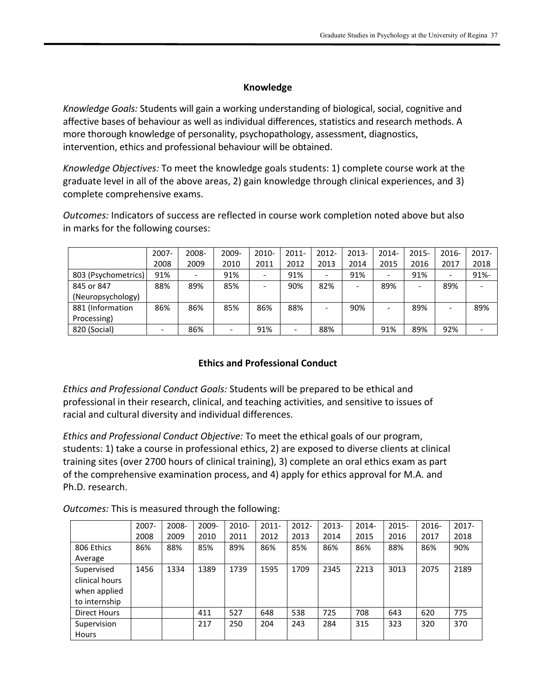### **Knowledge**

*Knowledge Goals:* Students will gain a working understanding of biological, social, cognitive and affective bases of behaviour as well as individual differences, statistics and research methods. A more thorough knowledge of personality, psychopathology, assessment, diagnostics, intervention, ethics and professional behaviour will be obtained.

*Knowledge Objectives:* To meet the knowledge goals students: 1) complete course work at the graduate level in all of the above areas, 2) gain knowledge through clinical experiences, and 3) complete comprehensive exams.

*Outcomes:* Indicators of success are reflected in course work completion noted above but also in marks for the following courses:

|                     | 2007- | 2008-                    | 2009-                    | $2010 -$                 | 2011- | 2012- | 2013-                    | 2014- | 2015- | 2016- | $2017 -$ |
|---------------------|-------|--------------------------|--------------------------|--------------------------|-------|-------|--------------------------|-------|-------|-------|----------|
|                     | 2008  | 2009                     | 2010                     | 2011                     | 2012  | 2013  | 2014                     | 2015  | 2016  | 2017  | 2018     |
| 803 (Psychometrics) | 91%   | $\overline{\phantom{a}}$ | 91%                      | $\overline{\phantom{a}}$ | 91%   |       | 91%                      |       | 91%   | -     | $91% -$  |
| 845 or 847          | 88%   | 89%                      | 85%                      |                          | 90%   | 82%   | $\overline{\phantom{a}}$ | 89%   | -     | 89%   |          |
| (Neuropsychology)   |       |                          |                          |                          |       |       |                          |       |       |       |          |
| 881 (Information    | 86%   | 86%                      | 85%                      | 86%                      | 88%   |       | 90%                      |       | 89%   |       | 89%      |
| Processing)         |       |                          |                          |                          |       |       |                          |       |       |       |          |
| 820 (Social)        |       | 86%                      | $\overline{\phantom{a}}$ | 91%                      |       | 88%   |                          | 91%   | 89%   | 92%   |          |

## **Ethics and Professional Conduct**

*Ethics and Professional Conduct Goals:* Students will be prepared to be ethical and professional in their research, clinical, and teaching activities, and sensitive to issues of racial and cultural diversity and individual differences.

*Ethics and Professional Conduct Objective:* To meet the ethical goals of our program, students: 1) take a course in professional ethics, 2) are exposed to diverse clients at clinical training sites (over 2700 hours of clinical training), 3) complete an oral ethics exam as part of the comprehensive examination process, and 4) apply for ethics approval for M.A. and Ph.D. research.

*Outcomes:* This is measured through the following:

|                | 2007- | 2008- | 2009- | 2010- | $2011 -$ | 2012- | 2013- | 2014- | 2015- | 2016- | $2017 -$ |
|----------------|-------|-------|-------|-------|----------|-------|-------|-------|-------|-------|----------|
|                | 2008  | 2009  | 2010  | 2011  | 2012     | 2013  | 2014  | 2015  | 2016  | 2017  | 2018     |
| 806 Ethics     | 86%   | 88%   | 85%   | 89%   | 86%      | 85%   | 86%   | 86%   | 88%   | 86%   | 90%      |
| Average        |       |       |       |       |          |       |       |       |       |       |          |
| Supervised     | 1456  | 1334  | 1389  | 1739  | 1595     | 1709  | 2345  | 2213  | 3013  | 2075  | 2189     |
| clinical hours |       |       |       |       |          |       |       |       |       |       |          |
| when applied   |       |       |       |       |          |       |       |       |       |       |          |
| to internship  |       |       |       |       |          |       |       |       |       |       |          |
| Direct Hours   |       |       | 411   | 527   | 648      | 538   | 725   | 708   | 643   | 620   | 775      |
| Supervision    |       |       | 217   | 250   | 204      | 243   | 284   | 315   | 323   | 320   | 370      |
| Hours          |       |       |       |       |          |       |       |       |       |       |          |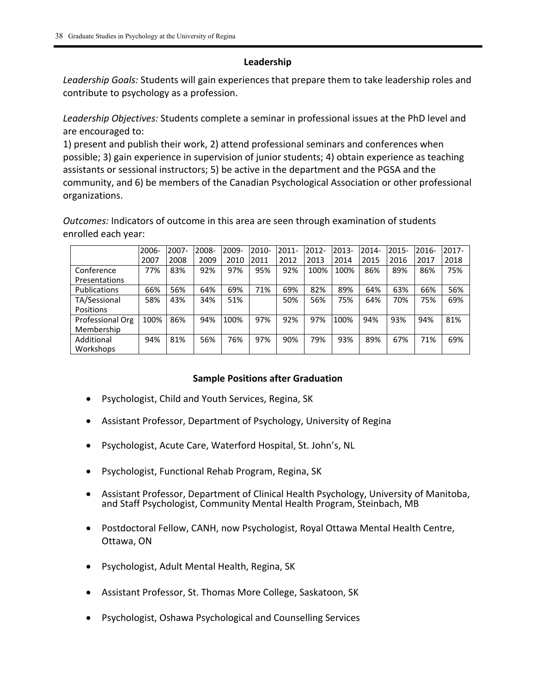### **Leadership**

*Leadership Goals:* Students will gain experiences that prepare them to take leadership roles and contribute to psychology as a profession.

*Leadership Objectives:* Students complete a seminar in professional issues at the PhD level and are encouraged to:

1) present and publish their work, 2) attend professional seminars and conferences when possible; 3) gain experience in supervision of junior students; 4) obtain experience as teaching assistants or sessional instructors; 5) be active in the department and the PGSA and the community, and 6) be members of the Canadian Psychological Association or other professional organizations.

*Outcomes:* Indicators of outcome in this area are seen through examination of students enrolled each year:

|                     | 2006- | 2007- | 2008- | 2009- | 2010- | $2011 -$ | 2012- | 2013- | 2014- | 2015- | 2016- | 2017- |
|---------------------|-------|-------|-------|-------|-------|----------|-------|-------|-------|-------|-------|-------|
|                     | 2007  | 2008  | 2009  | 2010  | 2011  | 2012     | 2013  | 2014  | 2015  | 2016  | 2017  | 2018  |
| Conference          | 77%   | 83%   | 92%   | 97%   | 95%   | 92%      | 100%  | 100%  | 86%   | 89%   | 86%   | 75%   |
| Presentations       |       |       |       |       |       |          |       |       |       |       |       |       |
| <b>Publications</b> | 66%   | 56%   | 64%   | 69%   | 71%   | 69%      | 82%   | 89%   | 64%   | 63%   | 66%   | 56%   |
| TA/Sessional        | 58%   | 43%   | 34%   | 51%   |       | 50%      | 56%   | 75%   | 64%   | 70%   | 75%   | 69%   |
| <b>Positions</b>    |       |       |       |       |       |          |       |       |       |       |       |       |
| Professional Org    | 100%  | 86%   | 94%   | 100%  | 97%   | 92%      | 97%   | 100%  | 94%   | 93%   | 94%   | 81%   |
| Membership          |       |       |       |       |       |          |       |       |       |       |       |       |
| Additional          | 94%   | 81%   | 56%   | 76%   | 97%   | 90%      | 79%   | 93%   | 89%   | 67%   | 71%   | 69%   |
| Workshops           |       |       |       |       |       |          |       |       |       |       |       |       |

### **Sample Positions after Graduation**

- Psychologist, Child and Youth Services, Regina, SK
- Assistant Professor, Department of Psychology, University of Regina
- Psychologist, Acute Care, Waterford Hospital, St. John's, NL
- Psychologist, Functional Rehab Program, Regina, SK
- Assistant Professor, Department of Clinical Health Psychology, University of Manitoba, and Staff Psychologist, Community Mental Health Program, Steinbach, MB
- Postdoctoral Fellow, CANH, now Psychologist, Royal Ottawa Mental Health Centre, Ottawa, ON
- Psychologist, Adult Mental Health, Regina, SK
- Assistant Professor, St. Thomas More College, Saskatoon, SK
- Psychologist, Oshawa Psychological and Counselling Services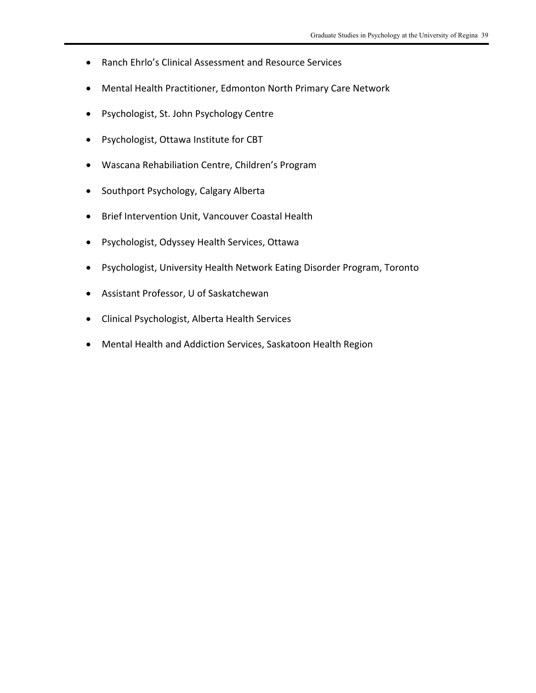- Ranch Ehrlo's Clinical Assessment and Resource Services
- Mental Health Practitioner, Edmonton North Primary Care Network
- Psychologist, St. John Psychology Centre
- Psychologist, Ottawa Institute for CBT
- Wascana Rehabiliation Centre, Children's Program
- Southport Psychology, Calgary Alberta
- Brief Intervention Unit, Vancouver Coastal Health
- Psychologist, Odyssey Health Services, Ottawa
- Psychologist, University Health Network Eating Disorder Program, Toronto
- Assistant Professor, U of Saskatchewan
- Clinical Psychologist, Alberta Health Services
- Mental Health and Addiction Services, Saskatoon Health Region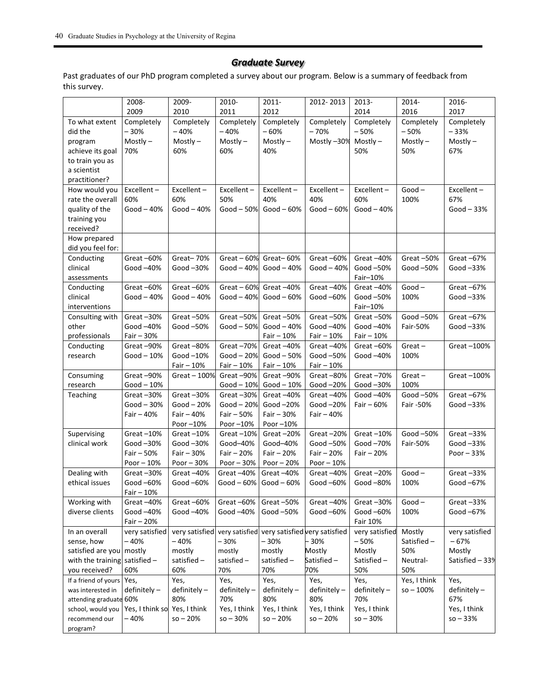### *Graduate Survey*

Past graduates of our PhD program completed a survey about our program. Below is a summary of feedback from this survey.

|                        | 2008-                     | 2009-                     | 2010-                     | 2011-                                        | 2012-2013              | 2013-                    | 2014-                 | 2016-                  |
|------------------------|---------------------------|---------------------------|---------------------------|----------------------------------------------|------------------------|--------------------------|-----------------------|------------------------|
|                        | 2009                      | 2010                      | 2011                      | 2012                                         |                        | 2014                     | 2016                  | 2017                   |
| To what extent         | Completely                | Completely                | Completely                | Completely                                   | Completely             | Completely               | Completely            | Completely             |
| did the                | $-30%$                    | $-40%$                    | $-40%$                    | $-60%$                                       | $-70%$                 | $-50%$                   | $-50%$                | $-33%$                 |
| program                | $Mostly -$                | $Mostly -$                | $Mostly -$                | $Mostly -$                                   | Mostly-30%             | $Mostly -$               | $Mostly -$            | $Mostly -$             |
| achieve its goal       | 70%                       | 60%                       | 60%                       | 40%                                          |                        | 50%                      | 50%                   | 67%                    |
| to train you as        |                           |                           |                           |                                              |                        |                          |                       |                        |
| a scientist            |                           |                           |                           |                                              |                        |                          |                       |                        |
| practitioner?          |                           |                           |                           |                                              |                        |                          |                       |                        |
| How would you          | Excellent-                | Excellent-                | Excellent-                | Excellent-                                   | Excellent-             | Excellent-               | $Good -$              | Excellent-             |
| rate the overall       | 60%                       | 60%                       | 50%                       | 40%                                          | 40%                    | 60%                      | 100%                  | 67%                    |
| quality of the         | $Good-40%$                | Good $-40%$               | Good $-50%$               | $Good - 60%$                                 | $Good - 60%$           | Good $-40%$              |                       | $Good - 33%$           |
| training you           |                           |                           |                           |                                              |                        |                          |                       |                        |
| received?              |                           |                           |                           |                                              |                        |                          |                       |                        |
| How prepared           |                           |                           |                           |                                              |                        |                          |                       |                        |
| did you feel for:      |                           |                           |                           |                                              |                        |                          |                       |                        |
| Conducting             | Great-60%                 | Great-70%                 | Great $-60%$              | Great-60%                                    | Great-60%              | Great-40%                | Great-50%             | Great $-67%$           |
| clinical               | Good -40%                 | Good-30%                  | Good $-40%$               | $Good - 40%$                                 | Good $-40%$            | Good $-50%$              | Good -50%             | Good $-33%$            |
| assessments            |                           |                           |                           |                                              |                        | Fair-10%                 |                       |                        |
| Conducting             | Great-60%                 | Great-60%                 | Great $-60%$              | Great-40%                                    | Great-40%              | Great-40%                | $Good -$              | Great-67%              |
| clinical               | Good $-40%$               | Good $-40%$               | Good $-40%$               | $Good - 60%$                                 | Good -60%              | Good $-50%$              | 100%                  | Good-33%               |
| interventions          |                           |                           |                           |                                              |                        | Fair-10%                 |                       |                        |
| Consulting with        | Great-30%                 | Great-50%                 | Great-50%                 | Great-50%                                    | Great-50%              | Great $-50%$             | Good -50%             | Great-67%              |
| other                  | Good $-40%$               | Good -50%                 | $Good - 50%$              | $Good-40%$                                   | Good -40%              | Good $-40%$              | Fair-50%              | Good $-33%$            |
| professionals          | Fair $-30%$               |                           |                           | Fair $-10%$                                  | Fair - 10%             | $Fair - 10%$             |                       |                        |
| Conducting             | Great-90%                 | Great-80%                 | Great-70%                 | Great $-40%$                                 | Great-40%              | Great $-60%$             | $Great -$             | Great-100%             |
| research               | Good $-10%$               | Good-10%                  | $Good - 20%$              | $Good - 50%$                                 | Good -50%              | Good -40%                | 100%                  |                        |
|                        |                           | Fair $-10%$               | Fair $-10%$               | Fair $-10%$                                  | Fair $-10%$            |                          |                       |                        |
| Consuming              | Great-90%                 | Great - 100%              | Great-90%                 | Great-90%                                    | Great-80%              | Great-70%                | $Great -$             | Great-100%             |
| research               | $Good-10%$                |                           | $Good-10%$                | $Good-10%$                                   | Good-20%               | Good -30%                | 100%                  |                        |
| Teaching               | Great-30%<br>$Good - 30%$ | Great-30%<br>$Good - 20%$ | Great-30%<br>$Good - 20%$ | Great-40%<br>Good-20%                        | Great-40%<br>Good -20% | Good -40%<br>Fair $-60%$ | Good-50%<br>Fair -50% | Great-67%<br>Good -33% |
|                        | Fair $-40%$               | Fair - 40%                | Fair $-50%$               | Fair $-30%$                                  | Fair $-40%$            |                          |                       |                        |
|                        |                           | Poor-10%                  | Poor-10%                  | Poor-10%                                     |                        |                          |                       |                        |
| Supervising            | Great $-10%$              | Great $-10%$              | Great $-10%$              | Great $-20%$                                 | Great-20%              | Great $-10%$             | Good -50%             | Great-33%              |
| clinical work          | Good-30%                  | Good $-30\%$              | Good-40%                  | Good-40%                                     | Good -50%              | Good-70%                 | Fair-50%              | Good-33%               |
|                        | Fair $-50%$               | Fair $-30%$               | Fair $-20%$               | Fair $-20%$                                  | Fair $-20%$            | Fair - 20%               |                       | Poor $-33%$            |
|                        | Poor $-10%$               | Poor $-30%$               | Poor $-30%$               | Poor $-20%$                                  | Poor $-10%$            |                          |                       |                        |
| Dealing with           | Great-30%                 | Great-40%                 | Great-40%                 | Great-40%                                    | Great-40%              | Great-20%                | $Good -$              | Great-33%              |
| ethical issues         | Good -60%                 | Good $-60\%$              | Good $-60%$               | Good $-60\%$                                 | Good -60%              | Good $-80%$              | 100%                  | Good $-67%$            |
|                        | $Fair - 10%$              |                           |                           |                                              |                        |                          |                       |                        |
| Working with           | Great-40%                 | Great-60%                 | Great-60%                 | Great-50%                                    | Great-40%              | Great-30%                | $Good -$              | Great-33%              |
| diverse clients        | Good -40%                 | Good -40%                 | Good -40%                 | Good-50%                                     | Good -60%              | Good -60%                | 100%                  | Good -67%              |
|                        | Fair $-20%$               |                           |                           |                                              |                        | Fair 10%                 |                       |                        |
| In an overall          | very satisfied            | very satisfied            |                           | very satisfied very satisfied very satisfied |                        | very satisfied           | Mostly                | very satisfied         |
| sense, how             | - 40%                     | $-40%$                    | $-30%$                    | -30%                                         | - 30%                  | $-50%$                   | Satisfied-            | $-67%$                 |
| satisfied are you      | mostly                    | mostly                    | mostly                    | mostly                                       | Mostly                 | Mostly                   | 50%                   | Mostly                 |
| with the training      | satisfied -               | satisfied-                | satisfied-                | satisfied-                                   | Satisfied-             | Satisfied -              | Neutral-              | Satisfied - 33%        |
| you received?          | 60%                       | 60%                       | 70%                       | 70%                                          | 70%                    | 50%                      | 50%                   |                        |
| If a friend of yours   | Yes,                      | Yes,                      | Yes,                      | Yes,                                         | Yes,                   | Yes,                     | Yes, I think          | Yes,                   |
| was interested in      | $definitely -$            | $definitely -$            | definitely-               | $definitely -$                               | definitely-            | $definitely -$           | $so - 100\%$          | $definitely -$         |
| attending graduate 60% |                           | 80%                       | 70%                       | 80%                                          | 80%                    | 70%                      |                       | 67%                    |
| school, would you      | Yes, I think so           | Yes, I think              | Yes, I think              | Yes, I think                                 | Yes, I think           | Yes, I think             |                       | Yes, I think           |
| recommend our          | -40%                      | $so - 20%$                | $so - 30%$                | $so - 20%$                                   | $so - 20%$             | $so - 30%$               |                       | $so - 33%$             |
| program?               |                           |                           |                           |                                              |                        |                          |                       |                        |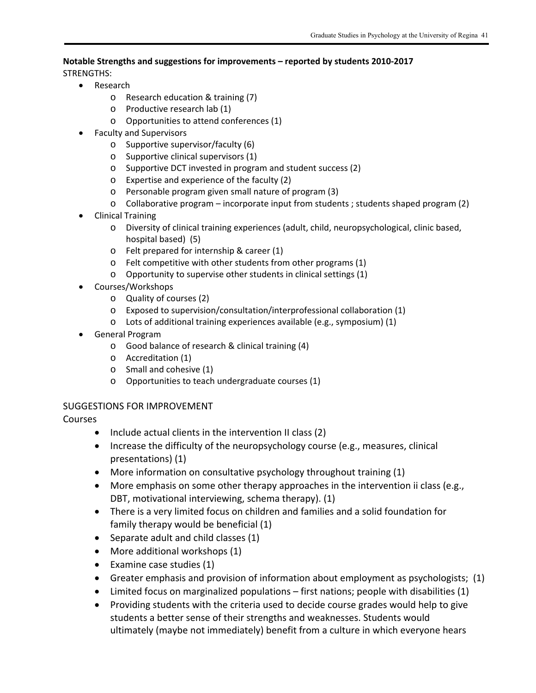#### **Notable Strengths and suggestions for improvements – reported by students 2010‐2017**

STRENGTHS:

- Research
	- o Research education & training (7)
	- o Productive research lab (1)
	- o Opportunities to attend conferences (1)
- Faculty and Supervisors
	- o Supportive supervisor/faculty (6)
	- o Supportive clinical supervisors (1)
	- o Supportive DCT invested in program and student success (2)
	- o Expertise and experience of the faculty (2)
	- o Personable program given small nature of program (3)
	- $\circ$  Collaborative program incorporate input from students ; students shaped program (2)
- Clinical Training
	- o Diversity of clinical training experiences (adult, child, neuropsychological, clinic based, hospital based) (5)
	- o Felt prepared for internship & career (1)
	- o Felt competitive with other students from other programs (1)
	- o Opportunity to supervise other students in clinical settings (1)
- Courses/Workshops
	- o Quality of courses (2)
	- o Exposed to supervision/consultation/interprofessional collaboration (1)
	- o Lots of additional training experiences available (e.g., symposium) (1)
- General Program
	- o Good balance of research & clinical training (4)
	- o Accreditation (1)
	- o Small and cohesive (1)
	- o Opportunities to teach undergraduate courses (1)

### SUGGESTIONS FOR IMPROVEMENT

Courses

- Include actual clients in the intervention II class (2)
- Increase the difficulty of the neuropsychology course (e.g., measures, clinical presentations) (1)
- More information on consultative psychology throughout training (1)
- More emphasis on some other therapy approaches in the intervention ii class (e.g., DBT, motivational interviewing, schema therapy). (1)
- There is a very limited focus on children and families and a solid foundation for family therapy would be beneficial (1)
- Separate adult and child classes (1)
- More additional workshops (1)
- Examine case studies (1)
- Greater emphasis and provision of information about employment as psychologists; (1)
- Limited focus on marginalized populations first nations; people with disabilities (1)
- Providing students with the criteria used to decide course grades would help to give students a better sense of their strengths and weaknesses. Students would ultimately (maybe not immediately) benefit from a culture in which everyone hears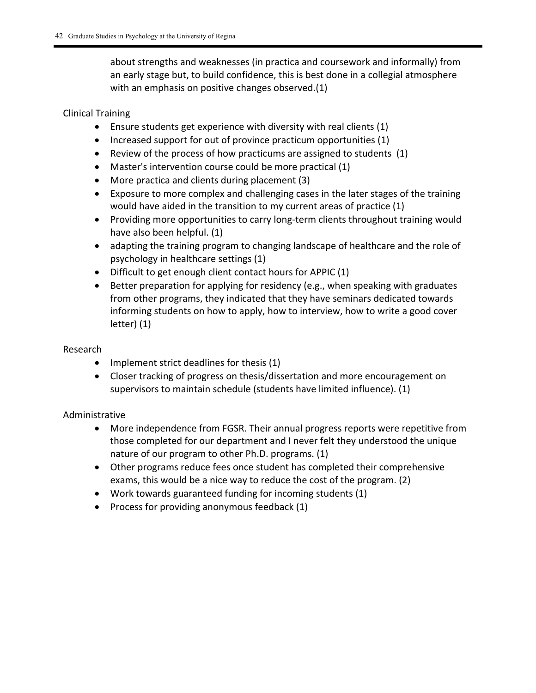about strengths and weaknesses (in practica and coursework and informally) from an early stage but, to build confidence, this is best done in a collegial atmosphere with an emphasis on positive changes observed.(1)

#### Clinical Training

- Ensure students get experience with diversity with real clients (1)
- $\bullet$  Increased support for out of province practicum opportunities (1)
- Review of the process of how practicums are assigned to students (1)
- Master's intervention course could be more practical (1)
- More practica and clients during placement (3)
- Exposure to more complex and challenging cases in the later stages of the training would have aided in the transition to my current areas of practice (1)
- Providing more opportunities to carry long-term clients throughout training would have also been helpful. (1)
- adapting the training program to changing landscape of healthcare and the role of psychology in healthcare settings (1)
- Difficult to get enough client contact hours for APPIC (1)
- Better preparation for applying for residency (e.g., when speaking with graduates from other programs, they indicated that they have seminars dedicated towards informing students on how to apply, how to interview, how to write a good cover letter) (1)

#### Research

- $\bullet$  Implement strict deadlines for thesis (1)
- Closer tracking of progress on thesis/dissertation and more encouragement on supervisors to maintain schedule (students have limited influence). (1)

### Administrative

- More independence from FGSR. Their annual progress reports were repetitive from those completed for our department and I never felt they understood the unique nature of our program to other Ph.D. programs. (1)
- Other programs reduce fees once student has completed their comprehensive exams, this would be a nice way to reduce the cost of the program. (2)
- Work towards guaranteed funding for incoming students (1)
- Process for providing anonymous feedback (1)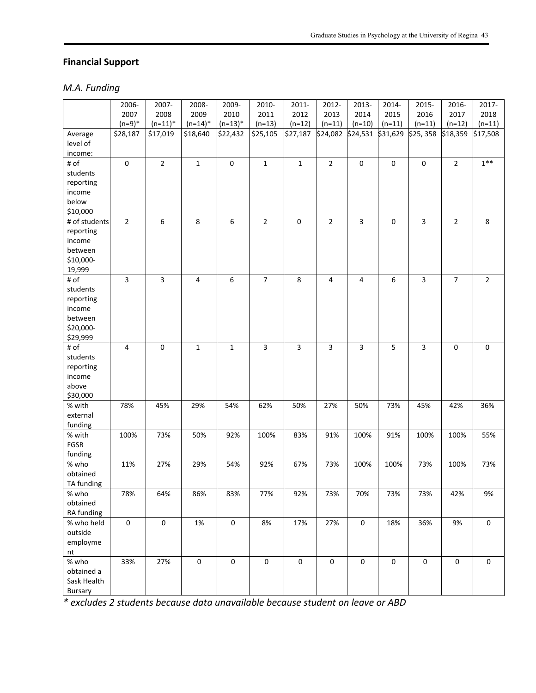### **Financial Support**

### *M.A. Funding*

|                     | 2006-          | 2007-       | 2008-               | 2009-            | 2010-                   | 2011-                   | 2012-          | 2013-                   | 2014-               | 2015-          | 2016-               | 2017-               |
|---------------------|----------------|-------------|---------------------|------------------|-------------------------|-------------------------|----------------|-------------------------|---------------------|----------------|---------------------|---------------------|
|                     | 2007           | 2008        | 2009                | 2010             | 2011                    | 2012                    | 2013           | 2014                    | 2015                | 2016           | 2017                | 2018                |
|                     | $(n=9)*$       | $(n=11)^*$  | $(n=14)^*$          | $(n=13)^*$       | $(n=13)$                | $(n=12)$                | $(n=11)$       | $(n=10)$                | $(n=11)$            | $(n=11)$       | $(n=12)$            | $(n=11)$            |
| Average             | \$28,187       | \$17,019    | \$18,640            | \$22,432         | \$25,105                | \$27,187                | \$24,082       | \$24,531 \$31,629       |                     | \$25,358       | \$18,359            | \$17,508            |
| level of            |                |             |                     |                  |                         |                         |                |                         |                     |                |                     |                     |
| income:             |                |             |                     |                  |                         |                         |                |                         |                     |                |                     |                     |
| # of                | $\pmb{0}$      | $\mathbf 2$ | $\mathbf 1$         | $\pmb{0}$        | $\mathbf 1$             | $\mathbf{1}$            | $\mathbf 2$    | $\mathsf 0$             | $\mathsf 0$         | $\mathsf 0$    | $\overline{2}$      | $1**$               |
| students            |                |             |                     |                  |                         |                         |                |                         |                     |                |                     |                     |
| reporting           |                |             |                     |                  |                         |                         |                |                         |                     |                |                     |                     |
| income              |                |             |                     |                  |                         |                         |                |                         |                     |                |                     |                     |
| below               |                |             |                     |                  |                         |                         |                |                         |                     |                |                     |                     |
| \$10,000            |                |             |                     |                  |                         |                         |                |                         |                     |                |                     |                     |
| # of students       | $\overline{2}$ | 6           | $\,8\,$             | $\boldsymbol{6}$ | $\overline{2}$          | 0                       | $\overline{2}$ | $\overline{3}$          | $\mathsf{O}\xspace$ | $\overline{3}$ | $\overline{2}$      | 8                   |
| reporting           |                |             |                     |                  |                         |                         |                |                         |                     |                |                     |                     |
| income              |                |             |                     |                  |                         |                         |                |                         |                     |                |                     |                     |
| between             |                |             |                     |                  |                         |                         |                |                         |                     |                |                     |                     |
| \$10,000-<br>19,999 |                |             |                     |                  |                         |                         |                |                         |                     |                |                     |                     |
| # of                | 3              | 3           | 4                   | $\boldsymbol{6}$ | $\overline{7}$          | 8                       | 4              | 4                       | 6                   | 3              | $\overline{7}$      | $\overline{2}$      |
| students            |                |             |                     |                  |                         |                         |                |                         |                     |                |                     |                     |
| reporting           |                |             |                     |                  |                         |                         |                |                         |                     |                |                     |                     |
| income              |                |             |                     |                  |                         |                         |                |                         |                     |                |                     |                     |
| between             |                |             |                     |                  |                         |                         |                |                         |                     |                |                     |                     |
| \$20,000-           |                |             |                     |                  |                         |                         |                |                         |                     |                |                     |                     |
| \$29,999            |                |             |                     |                  |                         |                         |                |                         |                     |                |                     |                     |
| # of                | $\overline{4}$ | $\pmb{0}$   | $\mathbf 1$         | $\mathbf 1$      | $\overline{\mathbf{3}}$ | $\overline{\mathbf{3}}$ | 3              | $\overline{\mathbf{3}}$ | 5                   | $\overline{3}$ | $\mathsf{O}\xspace$ | $\pmb{0}$           |
| students            |                |             |                     |                  |                         |                         |                |                         |                     |                |                     |                     |
| reporting           |                |             |                     |                  |                         |                         |                |                         |                     |                |                     |                     |
| income              |                |             |                     |                  |                         |                         |                |                         |                     |                |                     |                     |
| above               |                |             |                     |                  |                         |                         |                |                         |                     |                |                     |                     |
| \$30,000            |                |             |                     |                  |                         |                         |                |                         |                     |                |                     |                     |
| % with              | 78%            | 45%         | 29%                 | 54%              | 62%                     | 50%                     | 27%            | 50%                     | 73%                 | 45%            | 42%                 | 36%                 |
| external            |                |             |                     |                  |                         |                         |                |                         |                     |                |                     |                     |
| funding             |                |             |                     |                  |                         |                         |                |                         |                     |                |                     |                     |
| % with<br>FGSR      | 100%           | 73%         | 50%                 | 92%              | 100%                    | 83%                     | 91%            | 100%                    | 91%                 | 100%           | 100%                | 55%                 |
| funding             |                |             |                     |                  |                         |                         |                |                         |                     |                |                     |                     |
| % who               | 11%            | 27%         | 29%                 | 54%              | 92%                     | 67%                     | 73%            | 100%                    | 100%                | 73%            | 100%                | 73%                 |
| obtained            |                |             |                     |                  |                         |                         |                |                         |                     |                |                     |                     |
| TA funding          |                |             |                     |                  |                         |                         |                |                         |                     |                |                     |                     |
| % who               | 78%            | 64%         | 86%                 | 83%              | 77%                     | 92%                     | 73%            | 70%                     | 73%                 | 73%            | 42%                 | 9%                  |
| obtained            |                |             |                     |                  |                         |                         |                |                         |                     |                |                     |                     |
| RA funding          |                |             |                     |                  |                         |                         |                |                         |                     |                |                     |                     |
| % who held          | $\pmb{0}$      | $\pmb{0}$   | 1%                  | $\mathbf 0$      | 8%                      | 17%                     | 27%            | $\mathsf 0$             | 18%                 | 36%            | 9%                  | 0                   |
| outside             |                |             |                     |                  |                         |                         |                |                         |                     |                |                     |                     |
| employme            |                |             |                     |                  |                         |                         |                |                         |                     |                |                     |                     |
| nt                  |                |             |                     |                  |                         |                         |                |                         |                     |                |                     |                     |
| % who               | 33%            | 27%         | $\mathsf{O}\xspace$ | $\pmb{0}$        | $\pmb{0}$               | $\mathbf 0$             | $\pmb{0}$      | $\mathsf{O}\xspace$     | $\mathbf 0$         | $\pmb{0}$      | $\mathsf 0$         | $\mathsf{O}\xspace$ |
| obtained a          |                |             |                     |                  |                         |                         |                |                         |                     |                |                     |                     |
| Sask Health         |                |             |                     |                  |                         |                         |                |                         |                     |                |                     |                     |
| Bursary             |                |             |                     |                  |                         |                         |                |                         |                     |                |                     |                     |

*\* excludes 2 students because data unavailable because student on leave or ABD*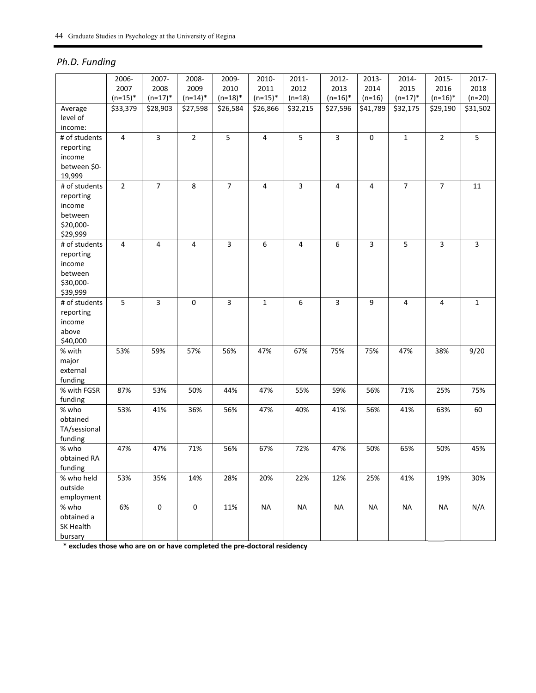### *Ph.D. Funding*

|               | 2006-          | 2007-          | 2008-          | 2009-          | 2010-        | 2011-    | 2012-      | 2013-       | 2014-          | 2015-          | 2017-        |
|---------------|----------------|----------------|----------------|----------------|--------------|----------|------------|-------------|----------------|----------------|--------------|
|               | 2007           | 2008           | 2009           | 2010           | 2011         | 2012     | 2013       | 2014        | 2015           | 2016           | 2018         |
|               | $(n=15)^*$     | $(n=17)^*$     | $(n=14)^*$     | $(n=18)^*$     | $(n=15)^*$   | $(n=18)$ | $(n=16)^*$ | $(n=16)$    | $(n=17)^*$     | $(n=16)^*$     | $(n=20)$     |
| Average       | \$33,379       | \$28,903       | \$27,598       | \$26,584       | \$26,866     | \$32,215 | \$27,596   | \$41,789    | \$32,175       | \$29,190       | \$31,502     |
| level of      |                |                |                |                |              |          |            |             |                |                |              |
| income:       |                |                |                |                |              |          |            |             |                |                |              |
| # of students | 4              | 3              | $\overline{2}$ | 5              | 4            | 5        | 3          | $\mathbf 0$ | $\mathbf{1}$   | $\overline{2}$ | 5            |
| reporting     |                |                |                |                |              |          |            |             |                |                |              |
| income        |                |                |                |                |              |          |            |             |                |                |              |
| between \$0-  |                |                |                |                |              |          |            |             |                |                |              |
| 19,999        |                |                |                |                |              |          |            |             |                |                |              |
| # of students | $\overline{2}$ | $\overline{7}$ | 8              | $\overline{7}$ | 4            | 3        | 4          | 4           | $\overline{7}$ | $\overline{7}$ | 11           |
| reporting     |                |                |                |                |              |          |            |             |                |                |              |
| income        |                |                |                |                |              |          |            |             |                |                |              |
| between       |                |                |                |                |              |          |            |             |                |                |              |
| \$20,000-     |                |                |                |                |              |          |            |             |                |                |              |
| \$29,999      |                |                |                |                |              |          |            |             |                |                |              |
| # of students | 4              | 4              | 4              | 3              | 6            | 4        | 6          | 3           | 5              | $\overline{3}$ | 3            |
| reporting     |                |                |                |                |              |          |            |             |                |                |              |
| income        |                |                |                |                |              |          |            |             |                |                |              |
| between       |                |                |                |                |              |          |            |             |                |                |              |
| \$30,000-     |                |                |                |                |              |          |            |             |                |                |              |
| \$39,999      |                |                |                |                |              |          |            |             |                |                |              |
| # of students | 5              | 3              | 0              | 3              | $\mathbf{1}$ | 6        | 3          | 9           | $\overline{4}$ | $\overline{4}$ | $\mathbf{1}$ |
| reporting     |                |                |                |                |              |          |            |             |                |                |              |
| income        |                |                |                |                |              |          |            |             |                |                |              |
| above         |                |                |                |                |              |          |            |             |                |                |              |
| \$40,000      |                |                |                |                |              |          |            |             |                |                |              |
| % with        | 53%            | 59%            | 57%            | 56%            | 47%          | 67%      | 75%        | 75%         | 47%            | 38%            | 9/20         |
| major         |                |                |                |                |              |          |            |             |                |                |              |
| external      |                |                |                |                |              |          |            |             |                |                |              |
| funding       |                |                |                |                |              |          |            |             |                |                |              |
| % with FGSR   | 87%            | 53%            | 50%            | 44%            | 47%          | 55%      | 59%        | 56%         | 71%            | 25%            | 75%          |
| funding       |                |                |                |                |              |          |            |             |                |                |              |
| % who         | 53%            | 41%            | 36%            | 56%            | 47%          | 40%      | 41%        | 56%         | 41%            | 63%            | 60           |
| obtained      |                |                |                |                |              |          |            |             |                |                |              |
| TA/sessional  |                |                |                |                |              |          |            |             |                |                |              |
| funding       |                |                |                |                |              |          |            |             |                |                |              |
| % who         | 47%            | 47%            | 71%            | 56%            | 67%          | 72%      | 47%        | 50%         | 65%            | 50%            | 45%          |
| obtained RA   |                |                |                |                |              |          |            |             |                |                |              |
| funding       |                |                |                |                |              |          |            |             |                |                |              |
| % who held    | 53%            | 35%            | 14%            | 28%            | 20%          | 22%      | 12%        | 25%         | 41%            | 19%            | 30%          |
| outside       |                |                |                |                |              |          |            |             |                |                |              |
| employment    |                |                |                |                |              |          |            |             |                |                |              |
| % who         | 6%             | $\pmb{0}$      | $\pmb{0}$      | 11%            | <b>NA</b>    | $\sf NA$ | <b>NA</b>  | <b>NA</b>   | <b>NA</b>      | <b>NA</b>      | N/A          |
| obtained a    |                |                |                |                |              |          |            |             |                |                |              |
| SK Health     |                |                |                |                |              |          |            |             |                |                |              |
| bursary       |                |                |                |                |              |          |            |             |                |                |              |

**\* excludes those who are on or have completed the pre‐doctoral residency**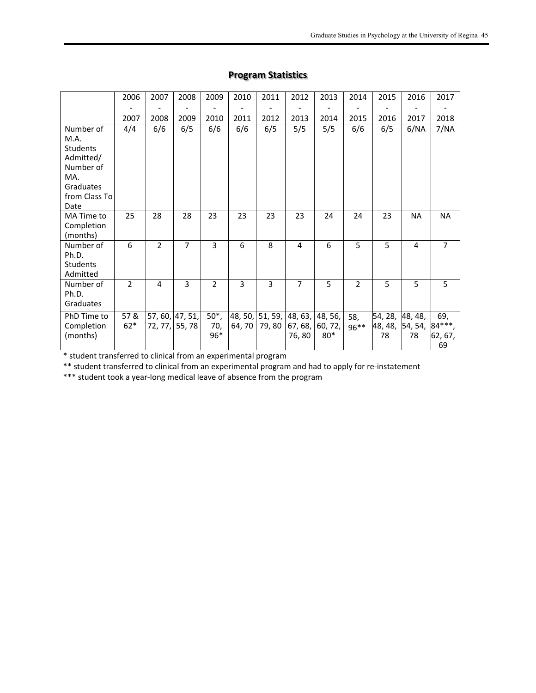|                                                                                                             | 2006           | 2007           | 2008                     | 2009                   | 2010              | 2011                     | 2012             | 2013                        | 2014           | 2015                     | 2016                     | 2017                           |
|-------------------------------------------------------------------------------------------------------------|----------------|----------------|--------------------------|------------------------|-------------------|--------------------------|------------------|-----------------------------|----------------|--------------------------|--------------------------|--------------------------------|
|                                                                                                             | 2007           | 2008           | 2009                     | 2010                   | 2011              | 2012                     | 2013             | 2014                        | 2015           | 2016                     | 2017                     | 2018                           |
| Number of<br>M.A.<br><b>Students</b><br>Admitted/<br>Number of<br>MA.<br>Graduates<br>from Class To<br>Date | 4/4            | 6/6            | 6/5                      | 6/6                    | 6/6               | 6/5                      | 5/5              | 5/5                         | 6/6            | 6/5                      | 6/NA                     | 7/NA                           |
| MA Time to<br>Completion<br>(months)                                                                        | 25             | 28             | 28                       | 23                     | 23                | 23                       | 23               | 24                          | 24             | 23                       | <b>NA</b>                | <b>NA</b>                      |
| Number of<br>Ph.D.<br><b>Students</b><br>Admitted                                                           | 6              | $\overline{2}$ | 7                        | 3                      | 6                 | 8                        | 4                | 6                           | 5              | 5                        | 4                        | $\overline{7}$                 |
| Number of<br>Ph.D.<br>Graduates                                                                             | $\overline{2}$ | 4              | 3                        | $\overline{2}$         | 3                 | 3                        | $\overline{7}$   | 5                           | $\overline{2}$ | 5                        | 5                        | 5                              |
| PhD Time to<br>Completion<br>(months)                                                                       | 57&<br>$62*$   | 72, 77,        | 57, 60, 47, 51,<br>55,78 | $50^*$ ,<br>70,<br>96* | 48, 50,<br>64, 70 | 51, 59, 48, 63,<br>79,80 | 67, 68,<br>76,80 | 48, 56,<br>60, 72,<br>$80*$ | 58,<br>$96***$ | 54, 28,<br>48, 48,<br>78 | 48, 48,<br>54, 54,<br>78 | 69,<br>84***,<br>62, 67,<br>69 |

### **Program Statistics**

\* student transferred to clinical from an experimental program

\*\* student transferred to clinical from an experimental program and had to apply for re‐instatement

\*\*\* student took a year‐long medical leave of absence from the program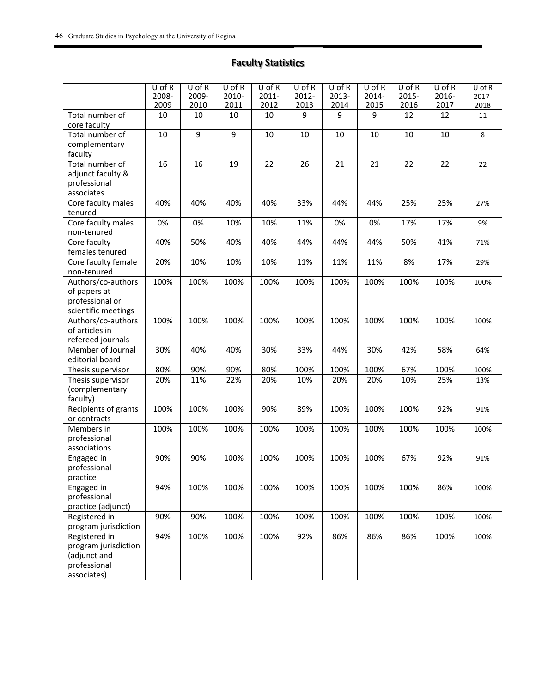### **Faculty Statistics**

|                              | $U$ of R<br>2008- | $U$ of R<br>2009- | $U$ of R<br>2010- | $U$ of R<br>$2011 -$ | $U$ of R<br>2012- | $U$ of R<br>2013- | $U$ of R<br>2014- | $U$ of R<br>2015- | $U$ of R<br>2016- | $U$ of $R$<br>2017- |
|------------------------------|-------------------|-------------------|-------------------|----------------------|-------------------|-------------------|-------------------|-------------------|-------------------|---------------------|
| Total number of              | 2009              | 2010              | 2011<br>10        | 2012<br>10           | 2013<br>9         | 2014<br>9         | 2015<br>9         | 2016              | 2017<br>12        | 2018                |
| core faculty                 | 10                | 10                |                   |                      |                   |                   |                   | 12                |                   | 11                  |
| Total number of              | $\overline{10}$   | $\overline{9}$    | $\overline{9}$    | 10                   | 10                | 10                | 10                | 10                | 10                | 8                   |
| complementary                |                   |                   |                   |                      |                   |                   |                   |                   |                   |                     |
| faculty                      |                   |                   |                   |                      |                   |                   |                   |                   |                   |                     |
| Total number of              | 16                | 16                | 19                | 22                   | 26                | 21                | 21                | 22                | 22                | 22                  |
| adjunct faculty &            |                   |                   |                   |                      |                   |                   |                   |                   |                   |                     |
| professional                 |                   |                   |                   |                      |                   |                   |                   |                   |                   |                     |
| associates                   |                   |                   |                   |                      |                   |                   |                   |                   |                   |                     |
| Core faculty males           | 40%               | 40%               | 40%               | 40%                  | 33%               | 44%               | 44%               | 25%               | 25%               | 27%                 |
| tenured                      |                   |                   |                   |                      |                   |                   |                   |                   |                   |                     |
| Core faculty males           | 0%                | 0%                | 10%               | 10%                  | 11%               | 0%                | 0%                | 17%               | 17%               | 9%                  |
| non-tenured<br>Core faculty  | 40%               |                   | 40%               | 40%                  | 44%               | 44%               | 44%               | 50%               | 41%               |                     |
| females tenured              |                   | 50%               |                   |                      |                   |                   |                   |                   |                   | 71%                 |
| Core faculty female          | 20%               | 10%               | 10%               | 10%                  | 11%               | 11%               | 11%               | 8%                | 17%               | 29%                 |
| non-tenured                  |                   |                   |                   |                      |                   |                   |                   |                   |                   |                     |
| Authors/co-authors           | 100%              | 100%              | 100%              | 100%                 | 100%              | 100%              | 100%              | 100%              | 100%              | 100%                |
| of papers at                 |                   |                   |                   |                      |                   |                   |                   |                   |                   |                     |
| professional or              |                   |                   |                   |                      |                   |                   |                   |                   |                   |                     |
| scientific meetings          |                   |                   |                   |                      |                   |                   |                   |                   |                   |                     |
| Authors/co-authors           | 100%              | 100%              | 100%              | 100%                 | 100%              | 100%              | 100%              | 100%              | 100%              | 100%                |
| of articles in               |                   |                   |                   |                      |                   |                   |                   |                   |                   |                     |
| refereed journals            |                   |                   |                   |                      |                   |                   |                   |                   |                   |                     |
| Member of Journal            | 30%               | 40%               | 40%               | 30%                  | 33%               | 44%               | 30%               | 42%               | 58%               | 64%                 |
| editorial board              |                   |                   |                   |                      |                   |                   |                   |                   |                   |                     |
| Thesis supervisor            | 80%               | 90%               | 90%               | 80%                  | 100%              | 100%              | 100%              | 67%               | 100%              | 100%                |
| Thesis supervisor            | 20%               | 11%               | 22%               | 20%                  | 10%               | 20%               | 20%               | 10%               | 25%               | 13%                 |
| (complementary               |                   |                   |                   |                      |                   |                   |                   |                   |                   |                     |
| faculty)                     |                   |                   |                   |                      |                   |                   |                   |                   |                   |                     |
| Recipients of grants         | 100%              | 100%              | 100%              | 90%                  | 89%               | 100%              | 100%              | 100%              | 92%               | 91%                 |
| or contracts<br>Members in   |                   |                   |                   |                      |                   |                   |                   |                   |                   |                     |
|                              | 100%              | 100%              | 100%              | 100%                 | 100%              | 100%              | 100%              | 100%              | 100%              | 100%                |
| professional<br>associations |                   |                   |                   |                      |                   |                   |                   |                   |                   |                     |
| Engaged in                   | 90%               | 90%               | 100%              | 100%                 | 100%              | 100%              | 100%              | 67%               | 92%               | 91%                 |
| professional                 |                   |                   |                   |                      |                   |                   |                   |                   |                   |                     |
| practice                     |                   |                   |                   |                      |                   |                   |                   |                   |                   |                     |
| Engaged in                   | 94%               | 100%              | 100%              | 100%                 | 100%              | 100%              | 100%              | 100%              | 86%               | 100%                |
| professional                 |                   |                   |                   |                      |                   |                   |                   |                   |                   |                     |
| practice (adjunct)           |                   |                   |                   |                      |                   |                   |                   |                   |                   |                     |
| Registered in                | 90%               | 90%               | 100%              | 100%                 | 100%              | 100%              | 100%              | 100%              | 100%              | 100%                |
| program jurisdiction         |                   |                   |                   |                      |                   |                   |                   |                   |                   |                     |
| Registered in                | 94%               | 100%              | 100%              | 100%                 | 92%               | 86%               | 86%               | 86%               | 100%              | 100%                |
| program jurisdiction         |                   |                   |                   |                      |                   |                   |                   |                   |                   |                     |
| (adjunct and                 |                   |                   |                   |                      |                   |                   |                   |                   |                   |                     |
| professional                 |                   |                   |                   |                      |                   |                   |                   |                   |                   |                     |
| associates)                  |                   |                   |                   |                      |                   |                   |                   |                   |                   |                     |